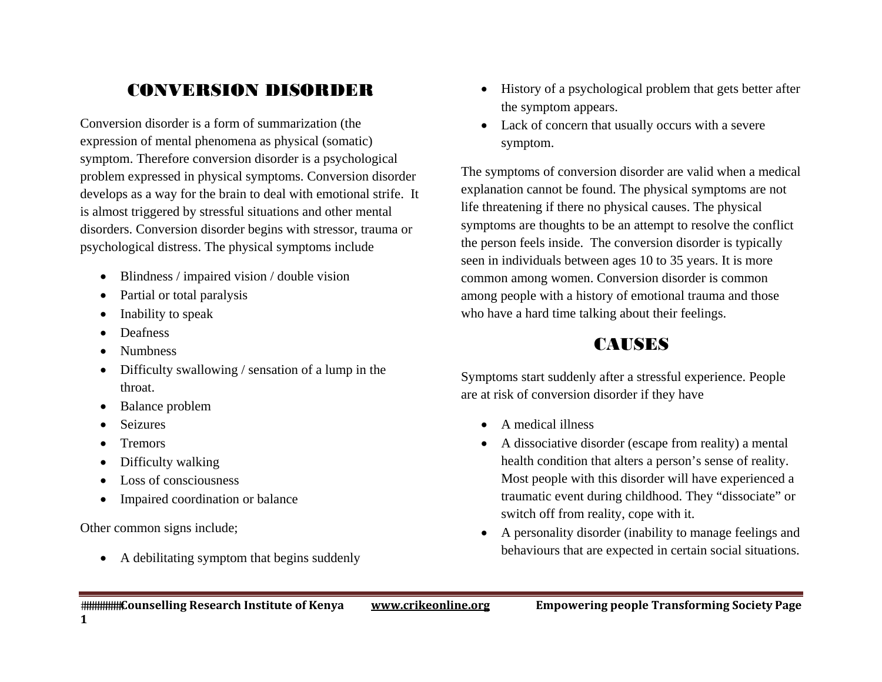# CONVERSION DISORDER

Conversion disorder is a form of summarization (the expression of mental phenomena as physical (somatic) symptom. Therefore conversion disorder is a psychological problem expressed in physical symptoms. Conversion disorder develops as a way for the brain to deal with emotional strife. It is almost triggered by stressful situations and other mental disorders. Conversion disorder begins with stressor, trauma or psychological distress. The physical symptoms include

- $\bullet$ Blindness / impaired vision / double vision
- $\bullet$ Partial or total paralysis
- $\bullet$ Inability to speak
- $\bullet$ Deafness
- $\bullet$ Numbness
- $\bullet$  Difficulty swallowing / sensation of a lump in the throat.
- $\bullet$ Balance problem
- . Seizures
- $\bullet$ **Tremors**
- $\bullet$ Difficulty walking
- $\bullet$ Loss of consciousness
- $\bullet$ Impaired coordination or balance

Other common signs include;

• A debilitating symptom that begins suddenly

- History of a psychological problem that gets better after the symptom appears.
- Lack of concern that usually occurs with a severe symptom.

The symptoms of conversion disorder are valid when a medical explanation cannot be found. The physical symptoms are not life threatening if there no physical causes. The physical symptoms are thoughts to be an attempt to resolve the conflict the person feels inside. The conversion disorder is typically seen in individuals between ages 10 to 35 years. It is more common among women. Conversion disorder is common among people with a history of emotional trauma and those who have a hard time talking about their feelings.

# **CAUSES**

Symptoms start suddenly after a stressful experience. People are at risk of conversion disorder if they have

- A medical illness
- A dissociative disorder (escape from reality) a mental health condition that alters a person's sense of reality. Most people with this disorder will have experienced a traumatic event during childhood. They "dissociate" or switch off from reality, cope with it.
- $\bullet$  A personality disorder (inability to manage feelings and behaviours that are expected in certain social situations.